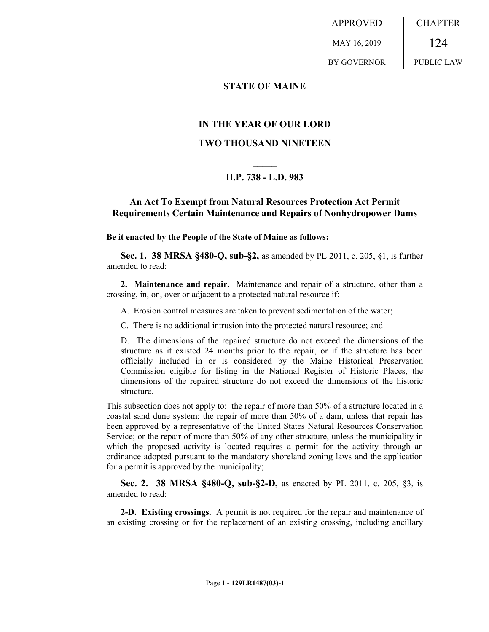APPROVED MAY 16, 2019 BY GOVERNOR CHAPTER 124 PUBLIC LAW

#### **STATE OF MAINE**

## **IN THE YEAR OF OUR LORD**

**\_\_\_\_\_**

### **TWO THOUSAND NINETEEN**

# **\_\_\_\_\_ H.P. 738 - L.D. 983**

## **An Act To Exempt from Natural Resources Protection Act Permit Requirements Certain Maintenance and Repairs of Nonhydropower Dams**

**Be it enacted by the People of the State of Maine as follows:**

**Sec. 1. 38 MRSA §480-Q, sub-§2,** as amended by PL 2011, c. 205, §1, is further amended to read:

**2. Maintenance and repair.** Maintenance and repair of a structure, other than a crossing, in, on, over or adjacent to a protected natural resource if:

A. Erosion control measures are taken to prevent sedimentation of the water;

C. There is no additional intrusion into the protected natural resource; and

D. The dimensions of the repaired structure do not exceed the dimensions of the structure as it existed 24 months prior to the repair, or if the structure has been officially included in or is considered by the Maine Historical Preservation Commission eligible for listing in the National Register of Historic Places, the dimensions of the repaired structure do not exceed the dimensions of the historic structure.

This subsection does not apply to: the repair of more than 50% of a structure located in a coastal sand dune system; the repair of more than 50% of a dam, unless that repair has been approved by a representative of the United States Natural Resources Conservation Service; or the repair of more than 50% of any other structure, unless the municipality in which the proposed activity is located requires a permit for the activity through an ordinance adopted pursuant to the mandatory shoreland zoning laws and the application for a permit is approved by the municipality;

**Sec. 2. 38 MRSA §480-Q, sub-§2-D,** as enacted by PL 2011, c. 205, §3, is amended to read:

**2-D. Existing crossings.** A permit is not required for the repair and maintenance of an existing crossing or for the replacement of an existing crossing, including ancillary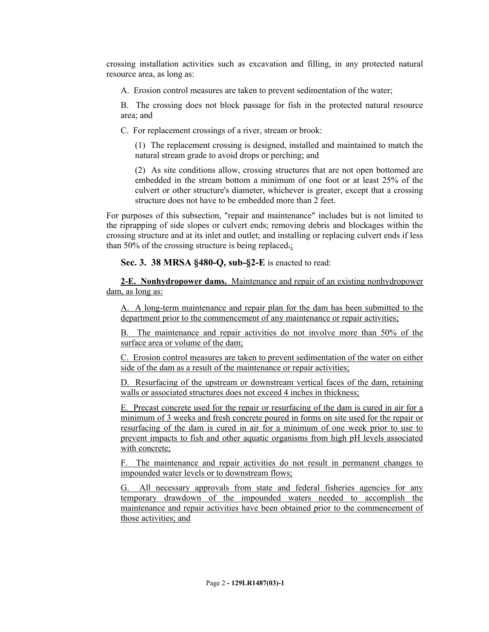crossing installation activities such as excavation and filling, in any protected natural resource area, as long as:

A. Erosion control measures are taken to prevent sedimentation of the water;

B. The crossing does not block passage for fish in the protected natural resource area; and

C. For replacement crossings of a river, stream or brook:

(1) The replacement crossing is designed, installed and maintained to match the natural stream grade to avoid drops or perching; and

(2) As site conditions allow, crossing structures that are not open bottomed are embedded in the stream bottom a minimum of one foot or at least 25% of the culvert or other structure's diameter, whichever is greater, except that a crossing structure does not have to be embedded more than 2 feet.

For purposes of this subsection, "repair and maintenance" includes but is not limited to the riprapping of side slopes or culvert ends; removing debris and blockages within the crossing structure and at its inlet and outlet; and installing or replacing culvert ends if less than 50% of the crossing structure is being replaced.

**Sec. 3. 38 MRSA §480-Q, sub-§2-E** is enacted to read:

**2-E. Nonhydropower dams.** Maintenance and repair of an existing nonhydropower dam, as long as:

A. A long-term maintenance and repair plan for the dam has been submitted to the department prior to the commencement of any maintenance or repair activities;

B. The maintenance and repair activities do not involve more than 50% of the surface area or volume of the dam;

C. Erosion control measures are taken to prevent sedimentation of the water on either side of the dam as a result of the maintenance or repair activities;

D. Resurfacing of the upstream or downstream vertical faces of the dam, retaining walls or associated structures does not exceed 4 inches in thickness;

E. Precast concrete used for the repair or resurfacing of the dam is cured in air for a minimum of 3 weeks and fresh concrete poured in forms on site used for the repair or resurfacing of the dam is cured in air for a minimum of one week prior to use to prevent impacts to fish and other aquatic organisms from high pH levels associated with concrete;

F. The maintenance and repair activities do not result in permanent changes to impounded water levels or to downstream flows;

G. All necessary approvals from state and federal fisheries agencies for any temporary drawdown of the impounded waters needed to accomplish the maintenance and repair activities have been obtained prior to the commencement of those activities; and